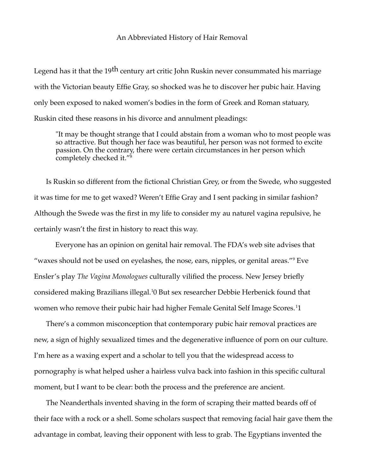## An Abbreviated History of Hair Removal

Legend has it that the 19<sup>th</sup> century art critic John Ruskin never consummated his marriage with the Victorian beauty Effie Gray, so shocked was he to discover her pubic hair. Having only been exposed to naked women's bodies in the form of Greek and Roman statuary, Ruskin cited these reasons in his divorce and annulment pleadings:

"It may be thought strange that I could abstain from a woman who to most people was so attractive. But though her face was beautiful, her person was not formed to excite passion. On the contrary, there were certain circumstances in her person which completely checked it."<sup>[8](#page-2-0)</sup>

Is Ruskin so different from the fictional Christian Grey, or from the Swede, who suggested it was time for me to get waxed? Weren't Effie Gray and I sent packing in similar fashion? Although the Swede was the first in my life to consider my au naturel vagina repulsive, he certainly wasn't the first in history to react this way.

Everyone has an opinion on genital hair removal. The FDA's web site advises that "waxes should not be used on eyelashes, the nose, ears, nipples, or genital areas."[9](#page-2-1) Eve Ensler's play *The Vagina Monologues* culturally vilified the process. New Jersey briefly considered making Brazilians illegal.[1](#page-2-2)0 But sex researcher Debbie Herbenick found that women who remove their pubic hair had higher Female Genital Self Image Scores.<sup>[1](#page-2-3)</sup>1

There's a common misconception that contemporary pubic hair removal practices are new, a sign of highly sexualized times and the degenerative influence of porn on our culture. I'm here as a waxing expert and a scholar to tell you that the widespread access to pornography is what helped usher a hairless vulva back into fashion in this specific cultural moment, but I want to be clear: both the process and the preference are ancient.

The Neanderthals invented shaving in the form of scraping their matted beards off of their face with a rock or a shell. Some scholars suspect that removing facial hair gave them the advantage in combat, leaving their opponent with less to grab. The Egyptians invented the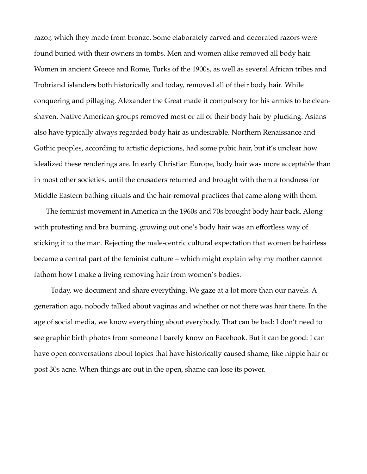razor, which they made from bronze. Some elaborately carved and decorated razors were found buried with their owners in tombs. Men and women alike removed all body hair. Women in ancient Greece and Rome, Turks of the 1900s, as well as several African tribes and Trobriand islanders both historically and today, removed all of their body hair. While conquering and pillaging, Alexander the Great made it compulsory for his armies to be cleanshaven. Native American groups removed most or all of their body hair by plucking. Asians also have typically always regarded body hair as undesirable. Northern Renaissance and Gothic peoples, according to artistic depictions, had some pubic hair, but it's unclear how idealized these renderings are. In early Christian Europe, body hair was more acceptable than in most other societies, until the crusaders returned and brought with them a fondness for Middle Eastern bathing rituals and the hair-removal practices that came along with them.

The feminist movement in America in the 1960s and 70s brought body hair back. Along with protesting and bra burning, growing out one's body hair was an effortless way of sticking it to the man. Rejecting the male-centric cultural expectation that women be hairless became a central part of the feminist culture – which might explain why my mother cannot fathom how I make a living removing hair from women's bodies.

Today, we document and share everything. We gaze at a lot more than our navels. A generation ago, nobody talked about vaginas and whether or not there was hair there. In the age of social media, we know everything about everybody. That can be bad: I don't need to see graphic birth photos from someone I barely know on Facebook. But it can be good: I can have open conversations about topics that have historically caused shame, like nipple hair or post 30s acne. When things are out in the open, shame can lose its power.